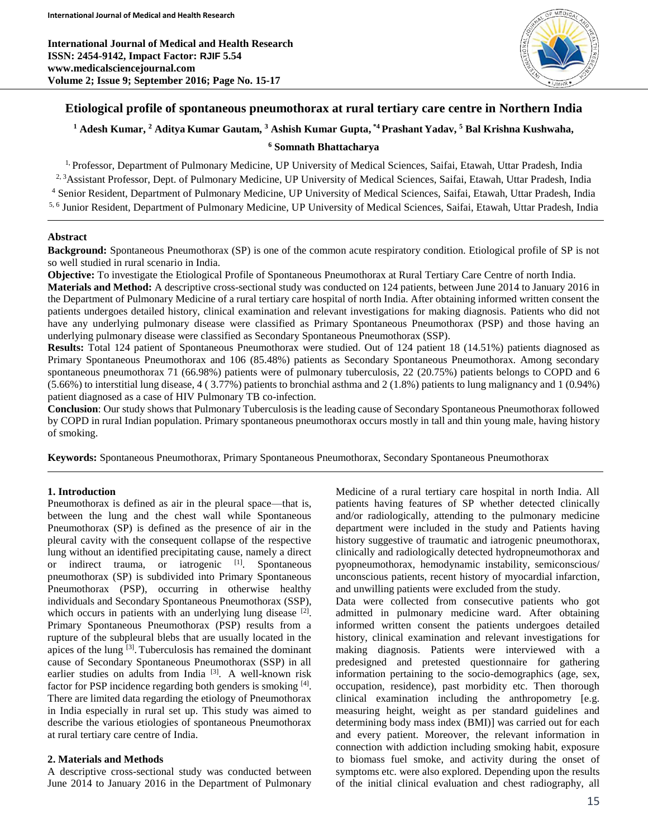**International Journal of Medical and Health Research ISSN: 2454-9142, Impact Factor: RJIF 5.54 www.medicalsciencejournal.com Volume 2; Issue 9; September 2016; Page No. 15-17**



# **Etiological profile of spontaneous pneumothorax at rural tertiary care centre in Northern India**

## **<sup>1</sup> Adesh Kumar, <sup>2</sup> Aditya Kumar Gautam, <sup>3</sup> Ashish Kumar Gupta, \*4 Prashant Yadav, <sup>5</sup> Bal Krishna Kushwaha,**

#### **<sup>6</sup> Somnath Bhattacharya**

<sup>1,</sup> Professor, Department of Pulmonary Medicine, UP University of Medical Sciences, Saifai, Etawah, Uttar Pradesh, India <sup>2, 3</sup>Assistant Professor, Dept. of Pulmonary Medicine, UP University of Medical Sciences, Saifai, Etawah, Uttar Pradesh, India <sup>4</sup> Senior Resident, Department of Pulmonary Medicine, UP University of Medical Sciences, Saifai, Etawah, Uttar Pradesh, India 5, 6 Junior Resident, Department of Pulmonary Medicine, UP University of Medical Sciences, Saifai, Etawah, Uttar Pradesh, India

#### **Abstract**

**Background:** Spontaneous Pneumothorax (SP) is one of the common acute respiratory condition. Etiological profile of SP is not so well studied in rural scenario in India.

**Objective:** To investigate the Etiological Profile of Spontaneous Pneumothorax at Rural Tertiary Care Centre of north India. **Materials and Method:** A descriptive cross-sectional study was conducted on 124 patients, between June 2014 to January 2016 in

the Department of Pulmonary Medicine of a rural tertiary care hospital of north India. After obtaining informed written consent the patients undergoes detailed history, clinical examination and relevant investigations for making diagnosis. Patients who did not have any underlying pulmonary disease were classified as Primary Spontaneous Pneumothorax (PSP) and those having an underlying pulmonary disease were classified as Secondary Spontaneous Pneumothorax (SSP).

**Results:** Total 124 patient of Spontaneous Pneumothorax were studied. Out of 124 patient 18 (14.51%) patients diagnosed as Primary Spontaneous Pneumothorax and 106 (85.48%) patients as Secondary Spontaneous Pneumothorax. Among secondary spontaneous pneumothorax 71 (66.98%) patients were of pulmonary tuberculosis, 22 (20.75%) patients belongs to COPD and 6 (5.66%) to interstitial lung disease, 4 ( 3.77%) patients to bronchial asthma and 2 (1.8%) patients to lung malignancy and 1 (0.94%) patient diagnosed as a case of HIV Pulmonary TB co-infection.

**Conclusion**: Our study shows that Pulmonary Tuberculosis is the leading cause of Secondary Spontaneous Pneumothorax followed by COPD in rural Indian population. Primary spontaneous pneumothorax occurs mostly in tall and thin young male, having history of smoking.

**Keywords:** Spontaneous Pneumothorax, Primary Spontaneous Pneumothorax, Secondary Spontaneous Pneumothorax

#### **1. Introduction**

Pneumothorax is defined as air in the pleural space—that is, between the lung and the chest wall while Spontaneous Pneumothorax (SP) is defined as the presence of air in the pleural cavity with the consequent collapse of the respective lung without an identified precipitating cause, namely a direct or indirect trauma, or iatrogenic [1]. Spontaneous pneumothorax (SP) is subdivided into Primary Spontaneous Pneumothorax (PSP), occurring in otherwise healthy individuals and Secondary Spontaneous Pneumothorax (SSP), which occurs in patients with an underlying lung disease [2]. Primary Spontaneous Pneumothorax (PSP) results from a rupture of the subpleural blebs that are usually located in the apices of the lung <sup>[3]</sup>. Tuberculosis has remained the dominant cause of Secondary Spontaneous Pneumothorax (SSP) in all earlier studies on adults from India<sup>[3]</sup>. A well-known risk factor for PSP incidence regarding both genders is smoking [4]. There are limited data regarding the etiology of Pneumothorax in India especially in rural set up. This study was aimed to describe the various etiologies of spontaneous Pneumothorax at rural tertiary care centre of India.

#### **2. Materials and Methods**

A descriptive cross-sectional study was conducted between June 2014 to January 2016 in the Department of Pulmonary

Medicine of a rural tertiary care hospital in north India. All patients having features of SP whether detected clinically and/or radiologically, attending to the pulmonary medicine department were included in the study and Patients having history suggestive of traumatic and iatrogenic pneumothorax, clinically and radiologically detected hydropneumothorax and pyopneumothorax, hemodynamic instability, semiconscious/ unconscious patients, recent history of myocardial infarction, and unwilling patients were excluded from the study.

Data were collected from consecutive patients who got admitted in pulmonary medicine ward. After obtaining informed written consent the patients undergoes detailed history, clinical examination and relevant investigations for making diagnosis. Patients were interviewed with a predesigned and pretested questionnaire for gathering information pertaining to the socio-demographics (age, sex, occupation, residence), past morbidity etc. Then thorough clinical examination including the anthropometry [e.g. measuring height, weight as per standard guidelines and determining body mass index (BMI)] was carried out for each and every patient. Moreover, the relevant information in connection with addiction including smoking habit, exposure to biomass fuel smoke, and activity during the onset of symptoms etc. were also explored. Depending upon the results of the initial clinical evaluation and chest radiography, all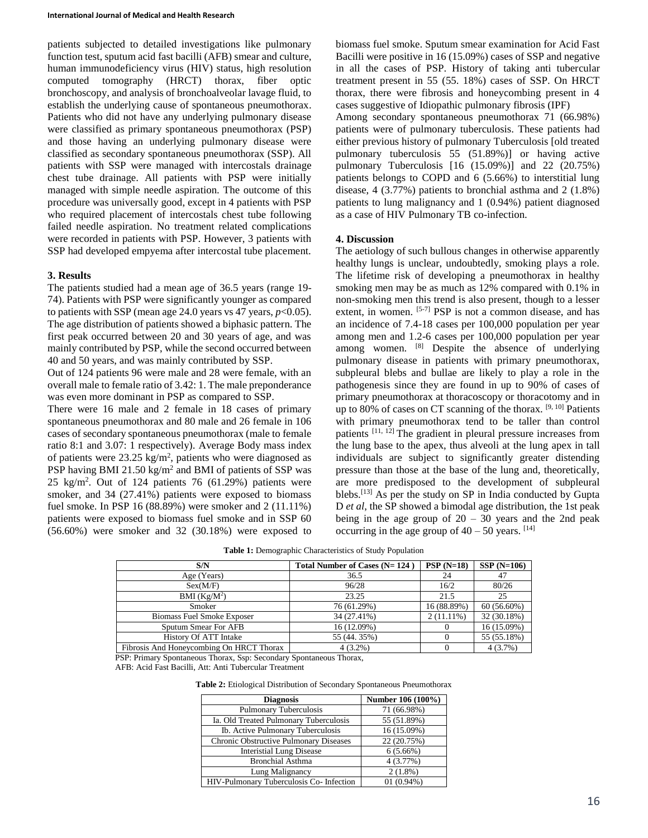patients subjected to detailed investigations like pulmonary function test, sputum acid fast bacilli (AFB) smear and culture, human immunodeficiency virus (HIV) status, high resolution computed tomography (HRCT) thorax, fiber optic bronchoscopy, and analysis of bronchoalveolar lavage fluid, to establish the underlying cause of spontaneous pneumothorax. Patients who did not have any underlying pulmonary disease were classified as primary spontaneous pneumothorax (PSP) and those having an underlying pulmonary disease were classified as secondary spontaneous pneumothorax (SSP). All patients with SSP were managed with intercostals drainage chest tube drainage. All patients with PSP were initially managed with simple needle aspiration. The outcome of this procedure was universally good, except in 4 patients with PSP who required placement of intercostals chest tube following failed needle aspiration. No treatment related complications were recorded in patients with PSP. However, 3 patients with SSP had developed empyema after intercostal tube placement.

#### **3. Results**

The patients studied had a mean age of 36.5 years (range 19- 74). Patients with PSP were significantly younger as compared to patients with SSP (mean age 24.0 years vs 47 years,  $p<0.05$ ). The age distribution of patients showed a biphasic pattern. The first peak occurred between 20 and 30 years of age, and was mainly contributed by PSP, while the second occurred between 40 and 50 years, and was mainly contributed by SSP.

Out of 124 patients 96 were male and 28 were female, with an overall male to female ratio of 3.42: 1. The male preponderance was even more dominant in PSP as compared to SSP.

There were 16 male and 2 female in 18 cases of primary spontaneous pneumothorax and 80 male and 26 female in 106 cases of secondary spontaneous pneumothorax (male to female ratio 8:1 and 3.07: 1 respectively). Average Body mass index of patients were  $23.25 \text{ kg/m}^2$ , patients who were diagnosed as PSP having BMI 21.50 kg/m<sup>2</sup> and BMI of patients of SSP was 25 kg/m<sup>2</sup> . Out of 124 patients 76 (61.29%) patients were smoker, and 34 (27.41%) patients were exposed to biomass fuel smoke. In PSP 16 (88.89%) were smoker and 2 (11.11%) patients were exposed to biomass fuel smoke and in SSP 60 (56.60%) were smoker and 32 (30.18%) were exposed to

biomass fuel smoke. Sputum smear examination for Acid Fast Bacilli were positive in 16 (15.09%) cases of SSP and negative in all the cases of PSP. History of taking anti tubercular treatment present in 55 (55. 18%) cases of SSP. On HRCT thorax, there were fibrosis and honeycombing present in 4 cases suggestive of Idiopathic pulmonary fibrosis (IPF) Among secondary spontaneous pneumothorax 71 (66.98%) patients were of pulmonary tuberculosis. These patients had either previous history of pulmonary Tuberculosis [old treated pulmonary tuberculosis 55 (51.89%)] or having active pulmonary Tuberculosis [16 (15.09%)] and 22 (20.75%) patients belongs to COPD and 6 (5.66%) to interstitial lung disease, 4 (3.77%) patients to bronchial asthma and 2 (1.8%) patients to lung malignancy and 1 (0.94%) patient diagnosed as a case of HIV Pulmonary TB co-infection.

#### **4. Discussion**

The aetiology of such bullous changes in otherwise apparently healthy lungs is unclear, undoubtedly, smoking plays a role. The lifetime risk of developing a pneumothorax in healthy smoking men may be as much as 12% compared with 0.1% in non-smoking men this trend is also present, though to a lesser extent, in women. [5-7] PSP is not a common disease, and has an incidence of 7.4-18 cases per 100,000 population per year among men and 1.2-6 cases per 100,000 population per year among women. [8] Despite the absence of underlying pulmonary disease in patients with primary pneumothorax, subpleural blebs and bullae are likely to play a role in the pathogenesis since they are found in up to 90% of cases of primary pneumothorax at thoracoscopy or thoracotomy and in up to 80% of cases on CT scanning of the thorax. [9, 10] Patients with primary pneumothorax tend to be taller than control patients [11, 12] The gradient in pleural pressure increases from the lung base to the apex, thus alveoli at the lung apex in tall individuals are subject to significantly greater distending pressure than those at the base of the lung and, theoretically, are more predisposed to the development of subpleural blebs.<sup>[13]</sup> As per the study on SP in India conducted by Gupta D *et al*, the SP showed a bimodal age distribution, the 1st peak being in the age group of  $20 - 30$  years and the 2nd peak occurring in the age group of  $40 - 50$  years. [14]

**Table 1:** Demographic Characteristics of Study Population

| S/N                                      | Total Number of Cases (N= 124) | $PSP(N=18)$  | $SSP(N=106)$  |
|------------------------------------------|--------------------------------|--------------|---------------|
| Age (Years)                              | 36.5                           | 24           | 47            |
| Sex(M/F)                                 | 96/28                          | 16/2         | 80/26         |
| BMI $(Kg/M^2)$                           | 23.25                          | 21.5         | 25            |
| Smoker                                   | 76 (61.29%)                    | 16 (88.89%)  | $60(56.60\%)$ |
| <b>Biomass Fuel Smoke Exposer</b>        | 34 (27.41%)                    | $2(11.11\%)$ | 32 (30.18%)   |
| Sputum Smear For AFB                     | 16 (12.09%)                    |              | 16 (15.09%)   |
| <b>History Of ATT Intake</b>             | 55 (44.35%)                    |              | 55 (55.18%)   |
| Fibrosis And Honeycombing On HRCT Thorax | $4(3.2\%)$                     |              | 4(3.7%)       |

PSP: Primary Spontaneous Thorax, Ssp: Secondary Spontaneous Thorax,

AFB: Acid Fast Bacilli, Att: Anti Tubercular Treatment

**Table 2:** Etiological Distribution of Secondary Spontaneous Pneumothorax

| <b>Diagnosis</b>                         | Number 106 (100%) |  |
|------------------------------------------|-------------------|--|
| <b>Pulmonary Tuberculosis</b>            | 71 (66.98%)       |  |
| Ia. Old Treated Pulmonary Tuberculosis   | 55 (51.89%)       |  |
| Ib. Active Pulmonary Tuberculosis        | 16 (15.09%)       |  |
| Chronic Obstructive Pulmonary Diseases   | 22 (20.75%)       |  |
| <b>Interistial Lung Disease</b>          | 6(5.66%)          |  |
| <b>Bronchial Asthma</b>                  | 4(3.77%)          |  |
| Lung Malignancy                          | $2(1.8\%)$        |  |
| HIV-Pulmonary Tuberculosis Co- Infection | $01(0.94\%)$      |  |